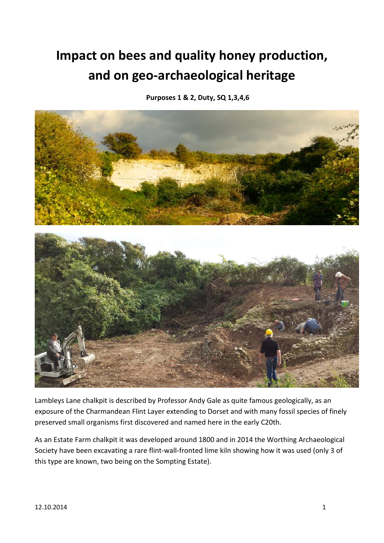## **Impact on bees and quality honey production, and on geo-archaeological heritage**

**Purposes 1 & 2, Duty, SQ 1,3,4,6**



Lambleys Lane chalkpit is described by Professor Andy Gale as quite famous geologically, as an exposure of the Charmandean Flint Layer extending to Dorset and with many fossil species of finely preserved small organisms first discovered and named here in the early C20th.

As an Estate Farm chalkpit it was developed around 1800 and in 2014 the Worthing Archaeological Society have been excavating a rare flint-wall-fronted lime kiln showing how it was used (only 3 of this type are known, two being on the Sompting Estate).